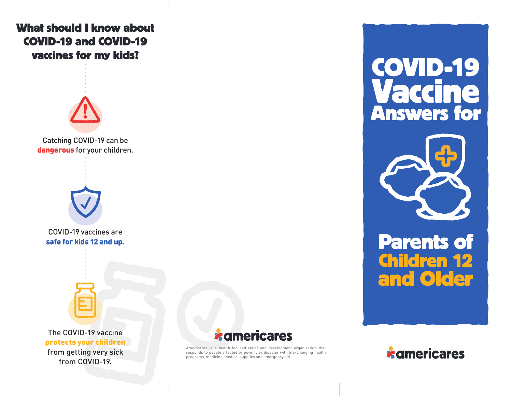# **What should I know about COVID-19 and COVID-19 vaccines for my kids?**



Catching COVID-19 can be dangerous for your children.



COVID-19 vaccines are safe for kids 12 and up.



The COVID-19 vaccine protects your children from getting very sick from COVID-19.



Americares is a health-focused relief and development organization that responds to people affected by poverty or disaster with life-changing health programs, medicine, medical supplies and emergency aid.

**COVID-19 Vaccine Answers for**



# **and Older Parents of Children 12**